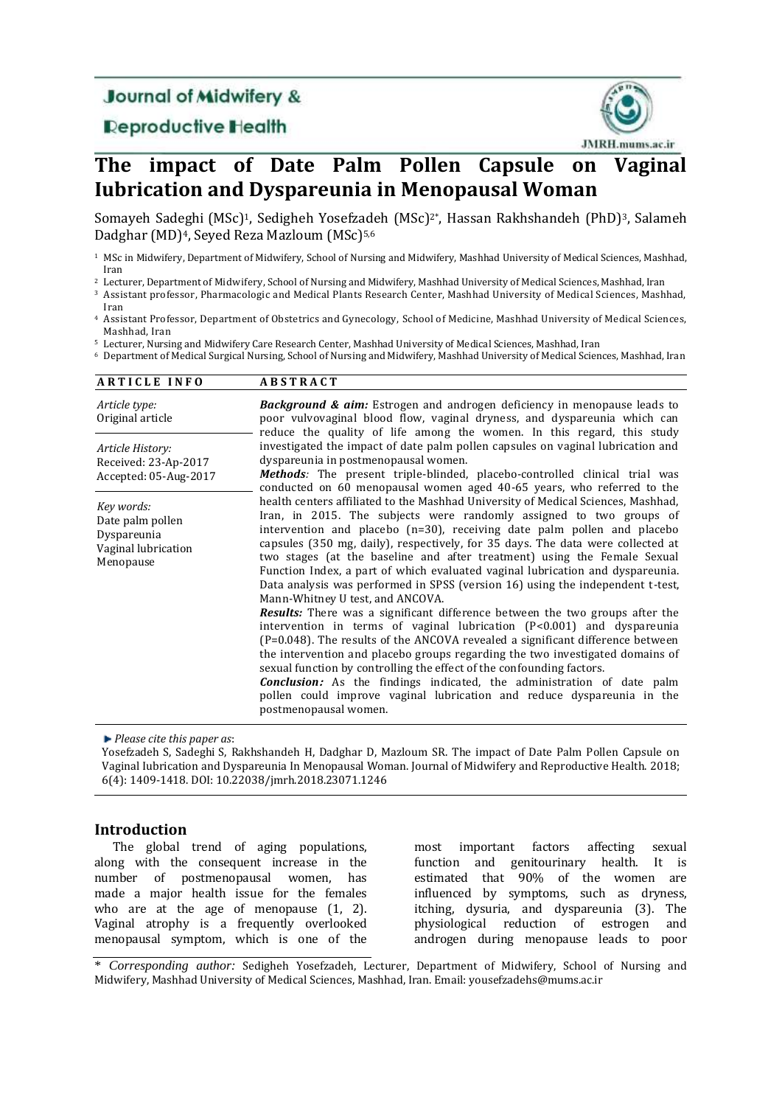# **Journal of Midwifery &**

# **Deproductive Health**



# **The impact of Date Palm Pollen Capsule on Vaginal Iubrication and Dyspareunia in Menopausal Woman**

Somayeh Sadeghi (MSc)<sup>1</sup>, Sedigheh Yosefzadeh (MSc)<sup>2\*</sup>, Hassan Rakhshandeh (PhD)<sup>3</sup>, Salameh Dadghar (MD)<sup>4</sup>, Seyed Reza Mazloum (MSc)<sup>5,6</sup>

<sup>1</sup> MSc in Midwifery, Department of Midwifery, School of Nursing and Midwifery, Mashhad University of Medical Sciences, Mashhad, Iran

<sup>2</sup> Lecturer, Department of Midwifery, School of Nursing and Midwifery, Mashhad University of Medical Sciences, Mashhad, Iran

- <sup>3</sup> Assistant professor, Pharmacologic and Medical Plants Research Center, Mashhad University of Medical Sciences, Mashhad, Iran
- <sup>4</sup> Assistant Professor, Department of Obstetrics and Gynecology, School of Medicine, Mashhad University of Medical Sciences, Mashhad, Iran

<sup>5</sup> Lecturer, Nursing and Midwifery Care Research Center, Mashhad University of Medical Sciences, Mashhad, Iran

<sup>6</sup> Department of Medical Surgical Nursing, School of Nursing and Midwifery, Mashhad University of Medical Sciences, Mashhad, Iran

| <b>ARTICLE INFO</b>                                                               | <b>ABSTRACT</b>                                                                                                                                                                                                                                                                                                                                                                                                                                                                                                                                                                                                                                                                                                                                                                                                                                                                                                                                                                                                                                                                                                                                                                                                     |  |
|-----------------------------------------------------------------------------------|---------------------------------------------------------------------------------------------------------------------------------------------------------------------------------------------------------------------------------------------------------------------------------------------------------------------------------------------------------------------------------------------------------------------------------------------------------------------------------------------------------------------------------------------------------------------------------------------------------------------------------------------------------------------------------------------------------------------------------------------------------------------------------------------------------------------------------------------------------------------------------------------------------------------------------------------------------------------------------------------------------------------------------------------------------------------------------------------------------------------------------------------------------------------------------------------------------------------|--|
| Article type:<br>Original article                                                 | <b>Background &amp; aim:</b> Estrogen and androgen deficiency in menopause leads to<br>poor vulvovaginal blood flow, vaginal dryness, and dyspareunia which can<br>reduce the quality of life among the women. In this regard, this study                                                                                                                                                                                                                                                                                                                                                                                                                                                                                                                                                                                                                                                                                                                                                                                                                                                                                                                                                                           |  |
| Article History:<br>Received: 23-Ap-2017<br>Accepted: 05-Aug-2017                 | investigated the impact of date palm pollen capsules on vaginal lubrication and<br>dyspareunia in postmenopausal women.<br><b>Methods:</b> The present triple-blinded, placebo-controlled clinical trial was<br>conducted on 60 menopausal women aged 40-65 years, who referred to the                                                                                                                                                                                                                                                                                                                                                                                                                                                                                                                                                                                                                                                                                                                                                                                                                                                                                                                              |  |
| Key words:<br>Date palm pollen<br>Dyspareunia<br>Vaginal lubrication<br>Menopause | health centers affiliated to the Mashhad University of Medical Sciences, Mashhad,<br>Iran, in 2015. The subjects were randomly assigned to two groups of<br>intervention and placebo $(n=30)$ , receiving date palm pollen and placebo<br>capsules (350 mg, daily), respectively, for 35 days. The data were collected at<br>two stages (at the baseline and after treatment) using the Female Sexual<br>Function Index, a part of which evaluated vaginal lubrication and dyspareunia.<br>Data analysis was performed in SPSS (version 16) using the independent t-test,<br>Mann-Whitney U test, and ANCOVA.<br><b>Results:</b> There was a significant difference between the two groups after the<br>intervention in terms of vaginal lubrication $(P<0.001)$ and dyspareunia<br>$(P=0.048)$ . The results of the ANCOVA revealed a significant difference between<br>the intervention and placebo groups regarding the two investigated domains of<br>sexual function by controlling the effect of the confounding factors.<br><b>Conclusion:</b> As the findings indicated, the administration of date palm<br>pollen could improve vaginal lubrication and reduce dyspareunia in the<br>postmenopausal women. |  |

*Please cite this paper as*:

Yosefzadeh S, Sadeghi S, Rakhshandeh H, Dadghar D, Mazloum SR. The impact of Date Palm Pollen Capsule on Vaginal Iubrication and Dyspareunia In Menopausal Woman. Journal of Midwifery and Reproductive Health. 2018; 6(4): 1409-1418. DOI: 10.22038/jmrh.2018.23071.1246

### **Introduction**

The global trend of aging populations, along with the consequent increase in the number of postmenopausal women, has made a major health issue for the females who are at the age of menopause (1, 2). Vaginal atrophy is a frequently overlooked menopausal symptom, which is one of the most important factors affecting sexual function and genitourinary health. It is estimated that 90% of the women are influenced by symptoms, such as dryness, itching, dysuria, and dyspareunia (3). The physiological reduction of estrogen and androgen during menopause leads to poor

\* *Corresponding author:* Sedigheh Yosefzadeh, Lecturer, Department of Midwifery, School of Nursing and Midwifery, Mashhad University of Medical Sciences, Mashhad, Iran. Email: yousefzadehs@mums.ac.ir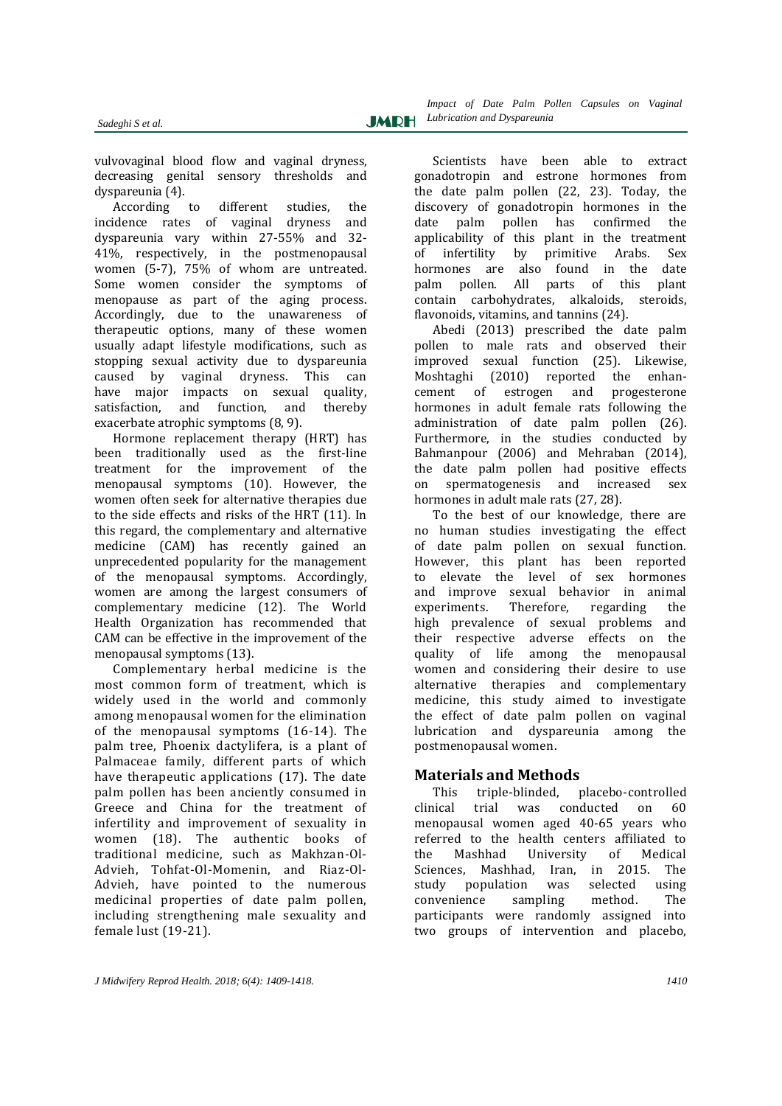vulvovaginal blood flow and vaginal dryness, decreasing genital sensory thresholds and dyspareunia (4).

According to different studies, the incidence rates of vaginal dryness and dyspareunia vary within 27-55% and 32- 41%, respectively, in the postmenopausal women (5-7), 75% of whom are untreated. Some women consider the symptoms of menopause as part of the aging process. Accordingly, due to the unawareness of therapeutic options, many of these women usually adapt lifestyle modifications, such as stopping sexual activity due to dyspareunia caused by vaginal dryness. This can have major impacts on sexual quality, satisfaction, and function, and thereby exacerbate atrophic symptoms (8, 9).

Hormone replacement therapy (HRT) has been traditionally used as the first-line treatment for the improvement of the menopausal symptoms (10). However, the women often seek for alternative therapies due to the side effects and risks of the HRT (11). In this regard, the complementary and alternative medicine (CAM) has recently gained an unprecedented popularity for the management of the menopausal symptoms. Accordingly, women are among the largest consumers of complementary medicine (12). The World Health Organization has recommended that CAM can be effective in the improvement of the menopausal symptoms (13).

Complementary herbal medicine is the most common form of treatment, which is widely used in the world and commonly among menopausal women for the elimination of the menopausal symptoms (16-14). The palm tree, Phoenix dactylifera, is a plant of Palmaceae family, different parts of which have therapeutic applications (17). The date palm pollen has been anciently consumed in Greece and China for the treatment of infertility and improvement of sexuality in women (18). The authentic books of traditional medicine, such as Makhzan-Ol-Advieh, Tohfat-Ol-Momenin, and Riaz-Ol-Advieh, have pointed to the numerous medicinal properties of date palm pollen, including strengthening male sexuality and female lust (19-21).

Scientists have been able to extract gonadotropin and estrone hormones from the date palm pollen (22, 23). Today, the discovery of gonadotropin hormones in the date palm pollen has confirmed the applicability of this plant in the treatment of infertility by primitive Arabs. Sex hormones are also found in the date palm pollen. All parts of this plant contain carbohydrates, alkaloids, steroids, flavonoids, vitamins, and tannins (24).

Abedi (2013) prescribed the date palm pollen to male rats and observed their improved sexual function (25). Likewise, Moshtaghi (2010) reported the enhancement of estrogen and progesterone hormones in adult female rats following the administration of date palm pollen (26). Furthermore, in the studies conducted by Bahmanpour (2006) and Mehraban (2014), the date palm pollen had positive effects on spermatogenesis and increased sex hormones in adult male rats (27, 28).

To the best of our knowledge, there are no human studies investigating the effect of date palm pollen on sexual function. However, this plant has been reported to elevate the level of sex hormones and improve sexual behavior in animal experiments. Therefore, regarding the high prevalence of sexual problems and their respective adverse effects on the quality of life among the menopausal women and considering their desire to use alternative therapies and complementary medicine, this study aimed to investigate the effect of date palm pollen on vaginal lubrication and dyspareunia among the postmenopausal women.

## **Materials and Methods**

This triple-blinded, placebo-controlled clinical trial was conducted on 60 menopausal women aged 40-65 years who referred to the health centers affiliated to the Mashhad University of Medical Sciences, Mashhad, Iran, in 2015. The study population was selected using convenience sampling method. The participants were randomly assigned into two groups of intervention and placebo,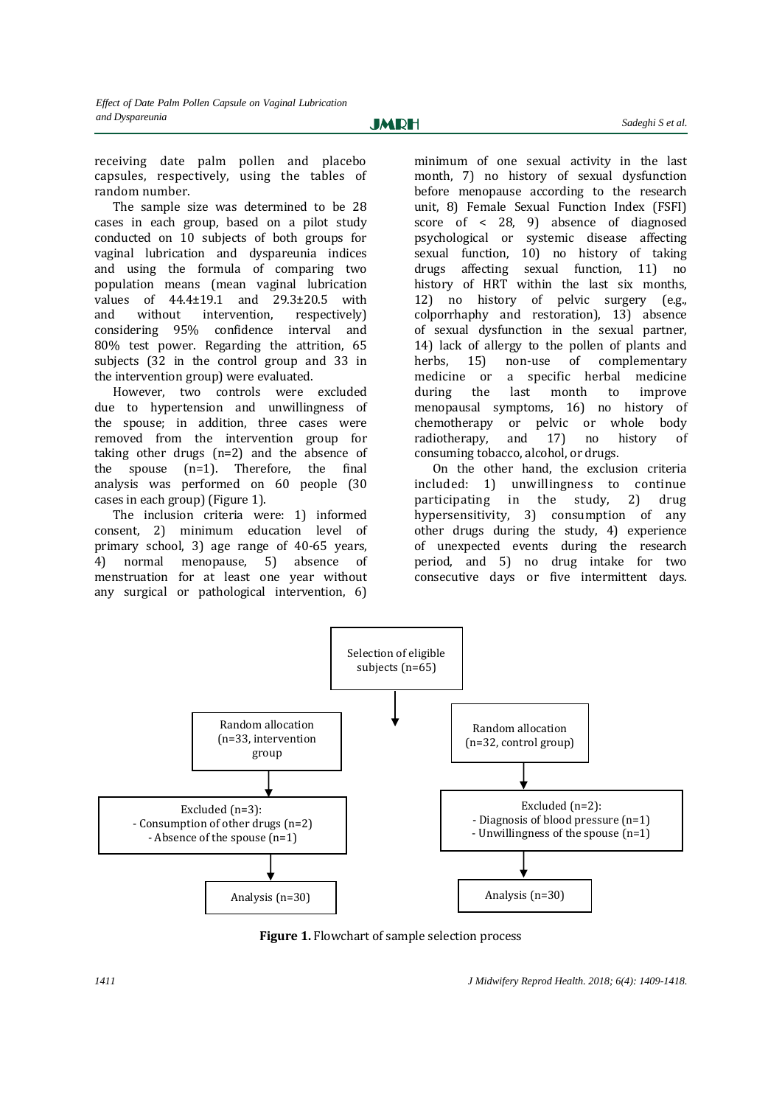receiving date palm pollen and placebo capsules, respectively, using the tables of random number.

The sample size was determined to be 28 cases in each group, based on a pilot study conducted on 10 subjects of both groups for vaginal lubrication and dyspareunia indices and using the formula of comparing two population means (mean vaginal lubrication values of 44.4±19.1 and 29.3±20.5 with and without intervention, respectively) considering 95% confidence interval and 80% test power. Regarding the attrition, 65 subjects (32 in the control group and 33 in the intervention group) were evaluated.

However, two controls were excluded due to hypertension and unwillingness of the spouse; in addition, three cases were removed from the intervention group for taking other drugs (n=2) and the absence of the spouse (n=1). Therefore, the final analysis was performed on 60 people (30 cases in each group) (Figure 1).

The inclusion criteria were: 1) informed consent, 2) minimum education level of primary school, 3) age range of 40-65 years, 4) normal menopause, 5) absence of menstruation for at least one year without any surgical or pathological intervention, 6) minimum of one sexual activity in the last month, 7) no history of sexual dysfunction before menopause according to the research unit, 8) Female Sexual Function Index (FSFI) score of < 28, 9) absence of diagnosed psychological or systemic disease affecting sexual function, 10) no history of taking drugs affecting sexual function, 11) no history of HRT within the last six months. 12) no history of pelvic surgery (e.g., colporrhaphy and restoration), 13) absence of sexual dysfunction in the sexual partner, 14) lack of allergy to the pollen of plants and herbs, 15) non-use of complementary medicine or a specific herbal medicine during the last month to improve menopausal symptoms, 16) no history of chemotherapy or pelvic or whole body radiotherapy, and 17) no history of consuming tobacco, alcohol, or drugs.

On the other hand, the exclusion criteria included: 1) unwillingness to continue participating in the study, 2) drug hypersensitivity, 3) consumption of any other drugs during the study, 4) experience of unexpected events during the research period, and 5) no drug intake for two consecutive days or five intermittent days.



**Figure 1.** Flowchart of sample selection process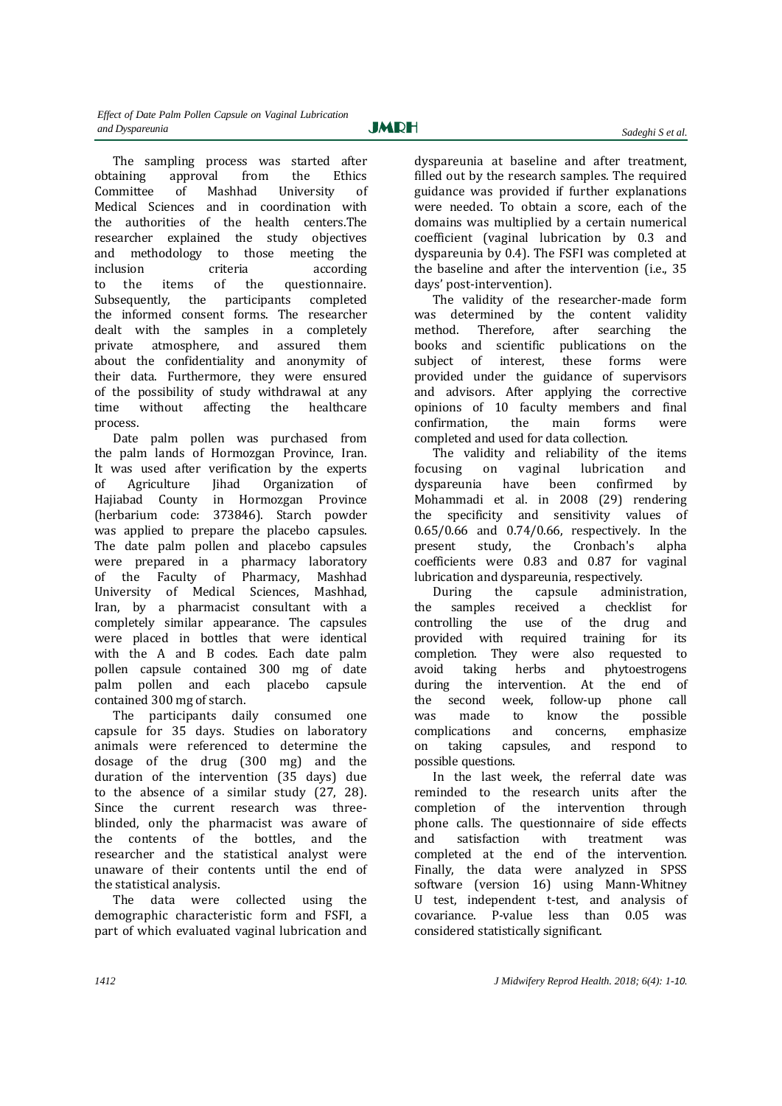The sampling process was started after obtaining approval from the Ethics Committee of Mashhad University of Medical Sciences and in coordination with the authorities of the health centers.The researcher explained the study objectives and methodology to those meeting the inclusion criteria according to the items of the questionnaire. Subsequently, the participants completed the informed consent forms. The researcher dealt with the samples in a completely private atmosphere, and assured them about the confidentiality and anonymity of their data. Furthermore, they were ensured of the possibility of study withdrawal at any time without affecting the healthcare process.

Date palm pollen was purchased from the palm lands of Hormozgan Province, Iran. It was used after verification by the experts<br>of Agriculture Iihad Organization of Agriculture Jihad Organization of Hajiabad County in Hormozgan Province (herbarium code: 373846). Starch powder was applied to prepare the placebo capsules. The date palm pollen and placebo capsules were prepared in a pharmacy laboratory of the Faculty of Pharmacy, Mashhad University of Medical Sciences, Mashhad, Iran, by a pharmacist consultant with a completely similar appearance. The capsules were placed in bottles that were identical with the A and B codes. Each date palm pollen capsule contained 300 mg of date palm pollen and each placebo capsule contained 300 mg of starch.

The participants daily consumed one capsule for 35 days. Studies on laboratory animals were referenced to determine the dosage of the drug (300 mg) and the duration of the intervention (35 days) due to the absence of a similar study (27, 28). Since the current research was threeblinded, only the pharmacist was aware of the contents of the bottles, and the researcher and the statistical analyst were unaware of their contents until the end of the statistical analysis.

The data were collected using the demographic characteristic form and FSFI, a part of which evaluated vaginal lubrication and *Sadeghi S et al.*

dyspareunia at baseline and after treatment, filled out by the research samples. The required guidance was provided if further explanations were needed. To obtain a score, each of the domains was multiplied by a certain numerical coefficient (vaginal lubrication by 0.3 and dyspareunia by 0.4). The FSFI was completed at the baseline and after the intervention (i.e., 35 days' post-intervention).

The validity of the researcher-made form was determined by the content validity method. Therefore, after searching the books and scientific publications on the subject of interest, these forms were provided under the guidance of supervisors and advisors. After applying the corrective opinions of 10 faculty members and final confirmation, the main forms were completed and used for data collection.

The validity and reliability of the items focusing on vaginal lubrication and dyspareunia have been confirmed by Mohammadi et al. in 2008 (29) rendering the specificity and sensitivity values of 0.65/0.66 and 0.74/0.66, respectively. In the present study, the Cronbach's alpha coefficients were 0.83 and 0.87 for vaginal lubrication and dyspareunia, respectively.

During the capsule administration, the samples received a checklist for controlling the use of the drug and provided with required training for its completion. They were also requested to avoid taking herbs and phytoestrogens during the intervention. At the end of the second week, follow-up phone call was made to know the possible complications and concerns, emphasize<br>on taking capsules, and respond to on taking capsules, and respond to possible questions.

In the last week, the referral date was reminded to the research units after the completion of the intervention through phone calls. The questionnaire of side effects and satisfaction with treatment was completed at the end of the intervention. Finally, the data were analyzed in SPSS software (version 16) using Mann-Whitney U test, independent t-test, and analysis of covariance. P-value less than 0.05 was considered statistically significant.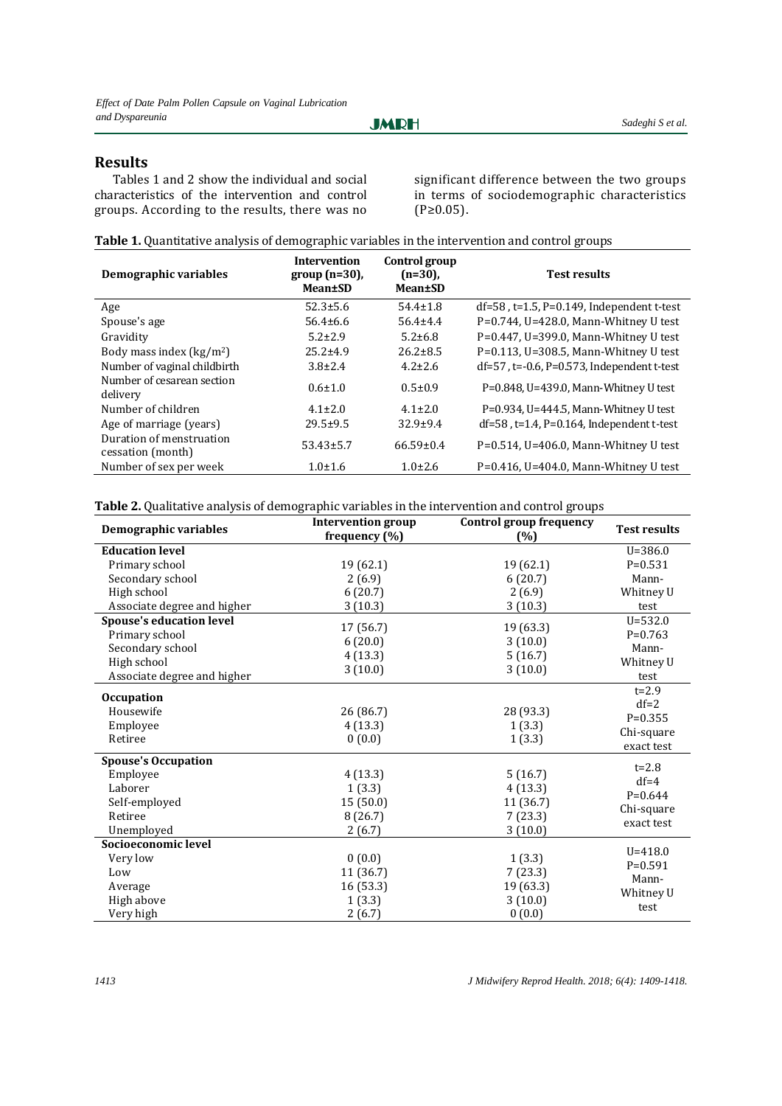**JMRH** 

## **Results**

Tables 1 and 2 show the individual and social characteristics of the intervention and control groups. According to the results, there was no

significant difference between the two groups in terms of sociodemographic characteristics (P≥0.05).

|  | Table 1. Quantitative analysis of demographic variables in the intervention and control groups |  |
|--|------------------------------------------------------------------------------------------------|--|
|  |                                                                                                |  |

| Demographic variables                         | <b>Intervention</b><br>$group(n=30)$ ,<br><b>Mean</b> <sup>t</sup> SD | Control group<br>$(n=30)$ ,<br>Mean±SD | <b>Test results</b>                                |
|-----------------------------------------------|-----------------------------------------------------------------------|----------------------------------------|----------------------------------------------------|
| Age                                           | $52.3 \pm 5.6$                                                        | $54.4 \pm 1.8$                         | $df=58$ , $t=1.5$ , $P=0.149$ , Independent t-test |
| Spouse's age                                  | $56.4 \pm 6.6$                                                        | $56.4 \pm 4.4$                         | $P=0.744$ , U=428.0, Mann-Whitney U test           |
| Gravidity                                     | $5.2 + 2.9$                                                           | $5.2 \pm 6.8$                          | $P=0.447$ , U=399.0, Mann-Whitney U test           |
| Body mass index $(kg/m2)$                     | $25.2 \pm 4.9$                                                        | $26.2 \pm 8.5$                         | P=0.113, U=308.5, Mann-Whitney U test              |
| Number of vaginal childbirth                  | $3.8 \pm 2.4$                                                         | $4.2 \pm 2.6$                          | $df=57$ , t=-0.6, P=0.573, Independent t-test      |
| Number of cesarean section<br>delivery        | $0.6 \pm 1.0$                                                         | $0.5 \pm 0.9$                          | P=0.848, U=439.0, Mann-Whitney U test              |
| Number of children                            | $4.1 \pm 2.0$                                                         | $4.1 + 2.0$                            | P=0.934, U=444.5, Mann-Whitney U test              |
| Age of marriage (years)                       | $29.5 \pm 9.5$                                                        | $32.9 + 9.4$                           | $df=58$ , $t=1.4$ , $P=0.164$ , Independent t-test |
| Duration of menstruation<br>cessation (month) | $53.43 \pm 5.7$                                                       | $66.59 \pm 0.4$                        | $P=0.514$ , U=406.0, Mann-Whitney U test           |
| Number of sex per week                        | $1.0 \pm 1.6$                                                         | $1.0 \pm 2.6$                          | $P=0.416$ , U=404.0, Mann-Whitney U test           |

**Table 2.** Qualitative analysis of demographic variables in the intervention and control groups

| Demographic variables                                                                                               | <b>Intervention group</b><br>frequency $(\%)$      | <b>Control group frequency</b><br>(%)                 | <b>Test results</b>                                          |
|---------------------------------------------------------------------------------------------------------------------|----------------------------------------------------|-------------------------------------------------------|--------------------------------------------------------------|
| <b>Education level</b>                                                                                              |                                                    |                                                       | $U = 386.0$                                                  |
| Primary school                                                                                                      | 19 (62.1)                                          | 19 (62.1)                                             | $P = 0.531$                                                  |
| Secondary school                                                                                                    | 2(6.9)                                             | 6(20.7)                                               | Mann-                                                        |
| High school                                                                                                         | 6(20.7)                                            | 2(6.9)                                                | Whitney U                                                    |
| Associate degree and higher                                                                                         | 3(10.3)                                            | 3(10.3)                                               | test                                                         |
| <b>Spouse's education level</b><br>Primary school<br>Secondary school<br>High school<br>Associate degree and higher | 17 (56.7)<br>6(20.0)<br>4(13.3)<br>3(10.0)         | 19 (63.3)<br>3(10.0)<br>5(16.7)<br>3(10.0)            | $U = 532.0$<br>$P=0.763$<br>Mann-<br>Whitney U<br>test       |
| <b>Occupation</b><br>Housewife<br>Employee<br>Retiree                                                               | 26 (86.7)<br>4(13.3)<br>0(0.0)                     | 28 (93.3)<br>1(3.3)<br>1(3.3)                         | $t = 2.9$<br>$df=2$<br>$P=0.355$<br>Chi-square<br>exact test |
| <b>Spouse's Occupation</b><br>Employee<br>Laborer<br>Self-employed<br>Retiree<br>Unemployed                         | 4(13.3)<br>1(3.3)<br>15(50.0)<br>8(26.7)<br>2(6.7) | 5(16.7)<br>4(13.3)<br>11 (36.7)<br>7(23.3)<br>3(10.0) | $t = 2.8$<br>$df=4$<br>$P=0.644$<br>Chi-square<br>exact test |
| Socioeconomic level<br>Very low<br>Low                                                                              | 0(0.0)<br>11 (36.7)                                | 1(3.3)<br>7(23.3)                                     | $U = 418.0$<br>$P=0.591$<br>Mann-                            |
| Average<br>High above<br>Very high                                                                                  | 16(53.3)<br>1(3.3)<br>2(6.7)                       | 19 (63.3)<br>3(10.0)<br>0(0.0)                        | Whitney U<br>test                                            |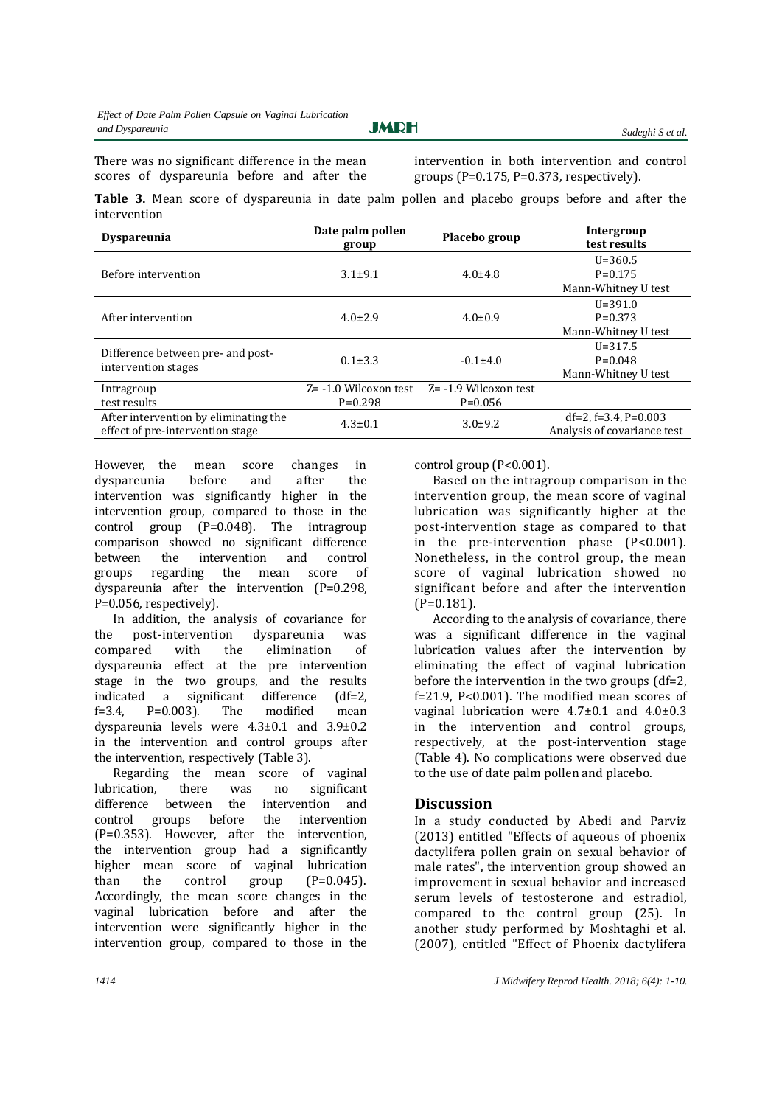There was no significant difference in the mean scores of dyspareunia before and after the

intervention in both intervention and control groups ( $P=0.175$ ,  $P=0.373$ , respectively).

**Table 3.** Mean score of dyspareunia in date palm pollen and placebo groups before and after the intervention

| <b>Dyspareunia</b>                                                        | Date palm pollen<br>group | Placebo group            | Intergroup<br>test results                                  |
|---------------------------------------------------------------------------|---------------------------|--------------------------|-------------------------------------------------------------|
|                                                                           |                           |                          | $U = 360.5$                                                 |
| Before intervention                                                       | $3.1 \pm 9.1$             | $4.0 \pm 4.8$            | $P=0.175$                                                   |
|                                                                           |                           |                          | Mann-Whitney U test                                         |
|                                                                           | $4.0 \pm 2.9$             | $4.0 \pm 0.9$            | $U = 391.0$                                                 |
| After intervention                                                        |                           |                          | $P=0.373$                                                   |
|                                                                           |                           |                          | Mann-Whitney U test                                         |
|                                                                           |                           |                          | $U = 317.5$                                                 |
| Difference between pre- and post-                                         | $0.1 \pm 3.3$             | $-0.1\pm4.0$             | $P=0.048$                                                   |
| intervention stages                                                       |                           |                          | Mann-Whitney U test                                         |
| Intragroup                                                                | $Z = -1.0$ Wilcoxon test  | $Z = -1.9$ Wilcoxon test |                                                             |
| test results                                                              | $P=0.298$                 | $P=0.056$                |                                                             |
| After intervention by eliminating the<br>effect of pre-intervention stage | $4.3 \pm 0.1$             | $3.0 + 9.2$              | $df=2$ , $f=3.4$ , $P=0.003$<br>Analysis of covariance test |

However, the mean score changes in dyspareunia before and after the intervention was significantly higher in the intervention group, compared to those in the control group (P=0.048). The intragroup comparison showed no significant difference between the intervention and control groups regarding the mean score of dyspareunia after the intervention (P=0.298, P=0.056, respectively).

In addition, the analysis of covariance for the post-intervention dyspareunia was compared with the elimination of dyspareunia effect at the pre intervention stage in the two groups, and the results indicated a significant difference (df=2,  $f=3.4$ ,  $P=0.003$ ). The modified mean dyspareunia levels were 4.3±0.1 and 3.9±0.2 in the intervention and control groups after the intervention, respectively (Table 3).

Regarding the mean score of vaginal lubrication, there was no significant difference between the intervention and<br>control groups before the intervention control groups before the intervention (P=0.353). However, after the intervention, the intervention group had a significantly higher mean score of vaginal lubrication than the control group  $(P=0.045)$ . Accordingly, the mean score changes in the vaginal lubrication before and after the intervention were significantly higher in the intervention group, compared to those in the

control group (P<0.001).

Based on the intragroup comparison in the intervention group, the mean score of vaginal lubrication was significantly higher at the post-intervention stage as compared to that in the pre-intervention phase (P<0.001). Nonetheless, in the control group, the mean score of vaginal lubrication showed no significant before and after the intervention (P=0.181).

According to the analysis of covariance, there was a significant difference in the vaginal lubrication values after the intervention by eliminating the effect of vaginal lubrication before the intervention in the two groups (df=2, f=21.9, P<0.001). The modified mean scores of vaginal lubrication were 4.7±0.1 and 4.0±0.3 in the intervention and control groups, respectively, at the post-intervention stage (Table 4). No complications were observed due to the use of date palm pollen and placebo.

### **Discussion**

In a study conducted by Abedi and Parviz (2013) entitled "Effects of aqueous of phoenix dactylifera pollen grain on sexual behavior of male rates", the intervention group showed an improvement in sexual behavior and increased serum levels of testosterone and estradiol, compared to the control group (25). In another study performed by Moshtaghi et al. (2007), entitled "Effect of Phoenix dactylifera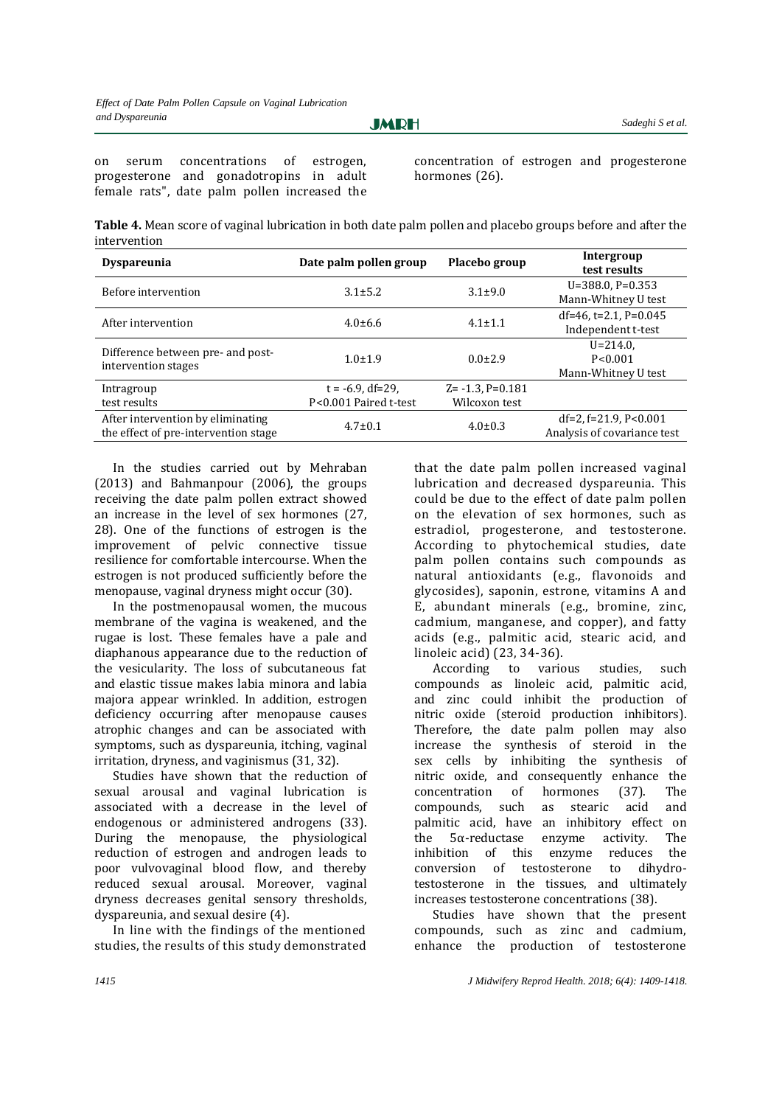**JMRH** 

on serum concentrations of estrogen, progesterone and gonadotropins in adult female rats", date palm pollen increased the concentration of estrogen and progesterone hormones (26).

**Table 4.** Mean score of vaginal lubrication in both date palm pollen and placebo groups before and after the intervention

| <b>Dyspareunia</b>                                                        | Date palm pollen group                       | Placebo group                             | Intergroup<br>test results                                   |
|---------------------------------------------------------------------------|----------------------------------------------|-------------------------------------------|--------------------------------------------------------------|
| Before intervention                                                       | $3.1 \pm 5.2$                                | $3.1 \pm 9.0$                             | $U=388.0, P=0.353$<br>Mann-Whitney U test                    |
| After intervention                                                        | $4.0\pm 6.6$                                 | $4.1 \pm 1.1$                             | $df=46$ , t=2.1, P=0.045<br>Independent t-test               |
| Difference between pre- and post-<br>intervention stages                  | $1.0 \pm 1.9$                                | $0.0+2.9$                                 | $U = 214.0$<br>P < 0.001<br>Mann-Whitney U test              |
| Intragroup<br>test results                                                | $t = -6.9$ , df=29,<br>P<0.001 Paired t-test | $Z = -1.3$ . $P = 0.181$<br>Wilcoxon test |                                                              |
| After intervention by eliminating<br>the effect of pre-intervention stage | $4.7 \pm 0.1$                                | $4.0 \pm 0.3$                             | $df=2$ , $f=21.9$ , $P<0.001$<br>Analysis of covariance test |

In the studies carried out by Mehraban (2013) and Bahmanpour (2006), the groups receiving the date palm pollen extract showed an increase in the level of sex hormones (27, 28). One of the functions of estrogen is the improvement of pelvic connective tissue resilience for comfortable intercourse. When the estrogen is not produced sufficiently before the menopause, vaginal dryness might occur (30).

In the postmenopausal women, the mucous membrane of the vagina is weakened, and the rugae is lost. These females have a pale and diaphanous appearance due to the reduction of the vesicularity. The loss of subcutaneous fat and elastic tissue makes labia minora and labia majora appear wrinkled. In addition, estrogen deficiency occurring after menopause causes atrophic changes and can be associated with symptoms, such as dyspareunia, itching, vaginal irritation, dryness, and vaginismus (31, 32).

Studies have shown that the reduction of sexual arousal and vaginal lubrication is associated with a decrease in the level of endogenous or administered androgens (33). During the menopause, the physiological reduction of estrogen and androgen leads to poor vulvovaginal blood flow, and thereby reduced sexual arousal. Moreover, vaginal dryness decreases genital sensory thresholds, dyspareunia, and sexual desire (4).

In line with the findings of the mentioned studies, the results of this study demonstrated

that the date palm pollen increased vaginal lubrication and decreased dyspareunia. This could be due to the effect of date palm pollen on the elevation of sex hormones, such as estradiol, progesterone, and testosterone. According to phytochemical studies, date palm pollen contains such compounds as natural antioxidants (e.g., flavonoids and glycosides), saponin, estrone, vitamins A and E, abundant minerals (e.g., bromine, zinc, cadmium, manganese, and copper), and fatty acids (e.g., palmitic acid, stearic acid, and linoleic acid) (23, 34-36).

According to various studies, such compounds as linoleic acid, palmitic acid, and zinc could inhibit the production of nitric oxide (steroid production inhibitors). Therefore, the date palm pollen may also increase the synthesis of steroid in the sex cells by inhibiting the synthesis of nitric oxide, and consequently enhance the concentration of hormones (37). The compounds, such as stearic acid and palmitic acid, have an inhibitory effect on the 5α-reductase enzyme activity. The inhibition of this enzyme reduces the conversion of testosterone to dihydrotestosterone in the tissues, and ultimately increases testosterone concentrations (38).

Studies have shown that the present compounds, such as zinc and cadmium, enhance the production of testosterone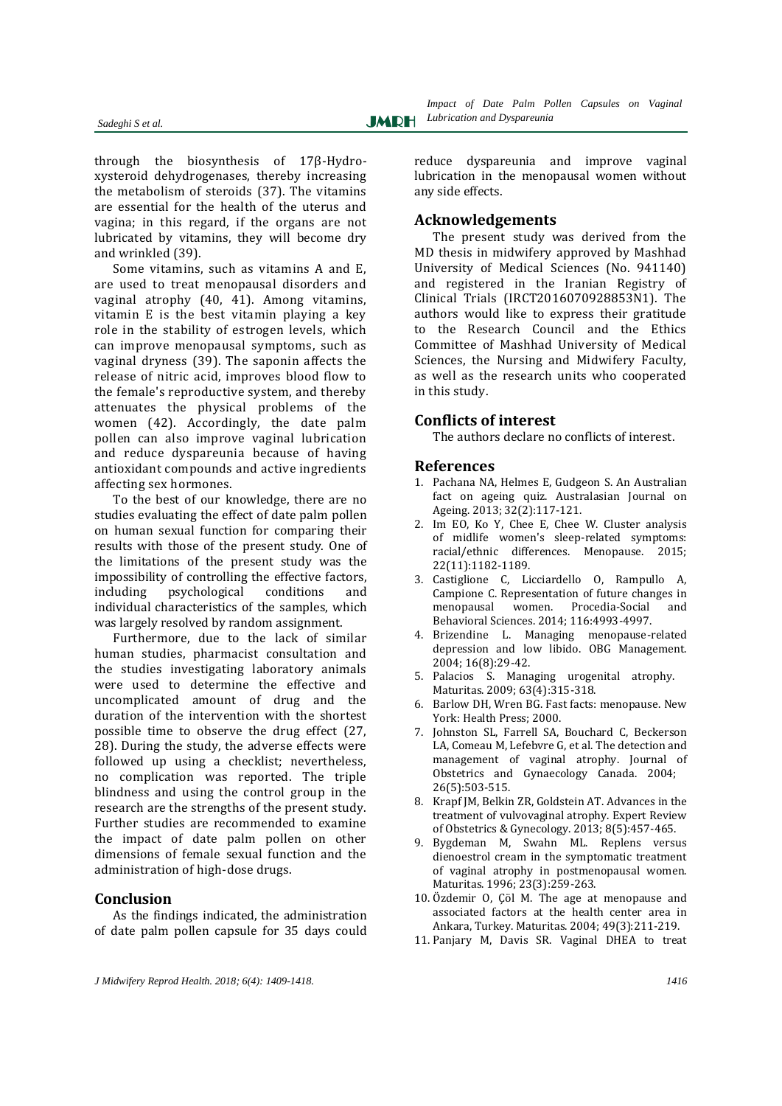through the biosynthesis of 17β-Hydroxysteroid dehydrogenases, thereby increasing the metabolism of steroids (37). The vitamins are essential for the health of the uterus and vagina; in this regard, if the organs are not lubricated by vitamins, they will become dry and wrinkled (39).

Some vitamins, such as vitamins A and E, are used to treat menopausal disorders and vaginal atrophy (40, 41). Among vitamins, vitamin E is the best vitamin playing a key role in the stability of estrogen levels, which can improve menopausal symptoms, such as vaginal dryness (39). The saponin affects the release of nitric acid, improves blood flow to the female's reproductive system, and thereby attenuates the physical problems of the women (42). Accordingly, the date palm pollen can also improve vaginal lubrication and reduce dyspareunia because of having antioxidant compounds and active ingredients affecting sex hormones.

To the best of our knowledge, there are no studies evaluating the effect of date palm pollen on human sexual function for comparing their results with those of the present study. One of the limitations of the present study was the impossibility of controlling the effective factors, including psychological conditions and individual characteristics of the samples, which was largely resolved by random assignment.

Furthermore, due to the lack of similar human studies, pharmacist consultation and the studies investigating laboratory animals were used to determine the effective and uncomplicated amount of drug and the duration of the intervention with the shortest possible time to observe the drug effect (27, 28). During the study, the adverse effects were followed up using a checklist; nevertheless, no complication was reported. The triple blindness and using the control group in the research are the strengths of the present study. Further studies are recommended to examine the impact of date palm pollen on other dimensions of female sexual function and the administration of high-dose drugs.

#### **Conclusion**

As the findings indicated, the administration of date palm pollen capsule for 35 days could

reduce dyspareunia and improve vaginal lubrication in the menopausal women without any side effects.

#### **Acknowledgements**

The present study was derived from the MD thesis in midwifery approved by Mashhad University of Medical Sciences (No. 941140) and registered in the Iranian Registry of Clinical Trials (IRCT2016070928853N1). The authors would like to express their gratitude to the Research Council and the Ethics Committee of Mashhad University of Medical Sciences, the Nursing and Midwifery Faculty, as well as the research units who cooperated in this study.

#### **Conflicts of interest**

The authors declare no conflicts of interest.

#### **References**

- 1. Pachana NA, Helmes E, Gudgeon S. An Australian fact on ageing quiz. Australasian Journal on Ageing. 2013; 32(2):117-121.
- 2. Im EO, Ko Y, Chee E, Chee W. Cluster analysis of midlife women's sleep-related symptoms: racial/ethnic differences. Menopause. 2015; 22(11):1182-1189.
- 3. Castiglione C, Licciardello O, Rampullo A, Campione C. Representation of future changes in menopausal women. Procedia-Social and Behavioral Sciences. 2014; 116:4993-4997.
- 4. Brizendine L. Managing menopause-related depression and low libido. OBG Management. 2004; 16(8):29-42.
- 5. Palacios S. Managing urogenital atrophy. Maturitas. 2009; 63(4):315-318.
- 6. Barlow DH, Wren BG. Fast facts: menopause. New York: Health Press; 2000.
- 7. Johnston SL, Farrell SA, Bouchard C, Beckerson LA, Comeau M, Lefebvre G, et al. The detection and management of vaginal atrophy. Journal of Obstetrics and Gynaecology Canada. 2004; 26(5):503-515.
- 8. Krapf JM, Belkin ZR, Goldstein AT. Advances in the treatment of vulvovaginal atrophy. Expert Review of Obstetrics & Gynecology. 2013; 8(5):457-465.
- 9. Bygdeman M, Swahn ML. Replens versus dienoestrol cream in the symptomatic treatment of vaginal atrophy in postmenopausal women. Maturitas. 1996; 23(3):259-263.
- 10. Özdemir O, Çöl M. The age at menopause and associated factors at the health center area in Ankara, Turkey. Maturitas. 2004; 49(3):211-219.
- 11. Panjary M, Davis SR. Vaginal DHEA to treat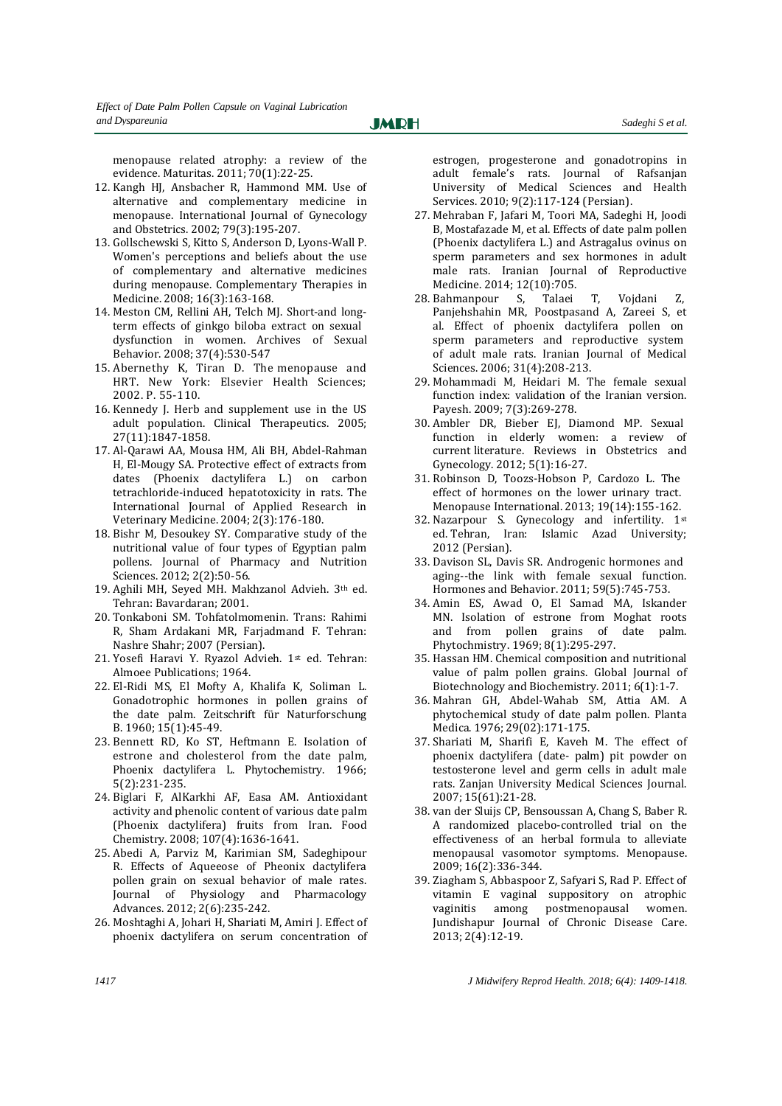menopause related atrophy: a review of the evidence. Maturitas. 2011; 70(1):22-25.

**JMRH** 

- 12. Kangh HJ, Ansbacher R, Hammond MM. Use of alternative and complementary medicine in menopause. International Journal of Gynecology and Obstetrics. 2002; 79(3):195-207.
- 13. Gollschewski S, Kitto S, Anderson D, Lyons-Wall P. Women's perceptions and beliefs about the use of complementary and alternative medicines during menopause. Complementary Therapies in Medicine. 2008; 16(3):163-168.
- 14. Meston CM, Rellini AH, Telch MJ. Short-and longterm effects of ginkgo biloba extract on sexual dysfunction in women. Archives of Sexual Behavior. 2008; 37(4):530-547
- 15. Abernethy K, Tiran D. The menopause and HRT. New York: Elsevier Health Sciences; 2002. P. 55-110.
- 16. Kennedy J. Herb and supplement use in the US adult population. Clinical Therapeutics. 2005; 27(11):1847-1858.
- 17. Al-Qarawi AA, Mousa HM, Ali BH, Abdel-Rahman H, El-Mougy SA. Protective effect of extracts from dates (Phoenix dactylifera L.) on carbon tetrachloride-induced hepatotoxicity in rats. The International Journal of Applied Research in Veterinary Medicine. 2004; 2(3):176-180.
- 18. Bishr M, Desoukey SY. Comparative study of the nutritional value of four types of Egyptian palm pollens. Journal of Pharmacy and Nutrition Sciences. 2012; 2(2):50-56.
- 19. Aghili MH, Seyed MH. Makhzanol Advieh. 3th ed. Tehran: Bavardaran; 2001.
- 20. Tonkaboni SM. Tohfatolmomenin. Trans: Rahimi R, Sham Ardakani MR, Farjadmand F. Tehran: Nashre Shahr; 2007 (Persian).
- 21. Yosefi Haravi Y. Ryazol Advieh. 1st ed. Tehran: Almoee Publications; 1964.
- 22. El-Ridi MS, El Mofty A, Khalifa K, Soliman L. Gonadotrophic hormones in pollen grains of the date palm. Zeitschrift für Naturforschung B. 1960; 15(1):45-49.
- 23. Bennett RD, Ko ST, Heftmann E. Isolation of estrone and cholesterol from the date palm, Phoenix dactylifera L. Phytochemistry. 1966; 5(2):231-235.
- 24. Biglari F, AlKarkhi AF, Easa AM. Antioxidant activity and phenolic content of various date palm (Phoenix dactylifera) fruits from Iran. Food Chemistry. 2008; 107(4):1636-1641.
- 25. Abedi A, Parviz M, Karimian SM, Sadeghipour R. Effects of Aqueeose of Pheonix dactylifera pollen grain on sexual behavior of male rates. Journal of Physiology and Pharmacology Advances. 2012; 2(6):235-242.
- 26. Moshtaghi A, Johari H, Shariati M, Amiri J. Effect of phoenix dactylifera on serum concentration of

estrogen, progesterone and gonadotropins in adult female's rats. Journal of Rafsanjan University of Medical Sciences and Health Services. 2010; 9(2):117-124 (Persian).

- 27. Mehraban F, Jafari M, Toori MA, Sadeghi H, Joodi B, Mostafazade M, et al. Effects of date palm pollen (Phoenix dactylifera L.) and Astragalus ovinus on sperm parameters and sex hormones in adult male rats. Iranian Journal of Reproductive Medicine. 2014; 12(10):705.
- 28. Bahmanpour S, Talaei T, Vojdani Z, Panjehshahin MR, Poostpasand A, Zareei S, et al. Effect of phoenix dactylifera pollen on sperm parameters and reproductive system of adult male rats. Iranian Journal of Medical Sciences. 2006; 31(4):208-213.
- 29. Mohammadi M, Heidari M. The female sexual function index: validation of the Iranian version. Payesh. 2009; 7(3):269-278.
- 30. Ambler DR, Bieber EJ, Diamond MP. Sexual function in elderly women: a review of current literature. Reviews in Obstetrics and Gynecology. 2012; 5(1):16-27.
- 31. Robinson D, Toozs-Hobson P, Cardozo L. The effect of hormones on the lower urinary tract. Menopause International. 2013; 19(14):155-162.
- 32. Nazarpour S. Gynecology and infertility. 1st ed. Tehran, Iran: Islamic Azad University; 2012 (Persian).
- 33. Davison SL, Davis SR. Androgenic hormones and aging--the link with female sexual function. Hormones and Behavior. 2011; 59(5):745-753.
- 34. Amin ES, Awad O, El Samad MA, Iskander MN. Isolation of estrone from Moghat roots and from pollen grains of date palm. Phytochmistry. 1969; 8(1):295-297.
- 35. Hassan HM. Chemical composition and nutritional value of palm pollen grains. Global Journal of Biotechnology and Biochemistry. 2011; 6(1):1-7.
- 36. Mahran GH, Abdel-Wahab SM, Attia AM. A phytochemical study of date palm pollen. Planta Medica. 1976; 29(02):171-175.
- 37. Shariati M, Sharifi E, Kaveh M. The effect of phoenix dactylifera (date- palm) pit powder on testosterone level and germ cells in adult male rats. Zanjan University Medical Sciences Journal. 2007; 15(61):21-28.
- 38. van der Sluijs CP, Bensoussan A, Chang S, Baber R. A randomized placebo-controlled trial on the effectiveness of an herbal formula to alleviate menopausal vasomotor symptoms. Menopause. 2009; 16(2):336-344.
- 39. Ziagham S, Abbaspoor Z, Safyari S, Rad P. Effect of vitamin E vaginal suppository on atrophic vaginitis among postmenopausal women. Jundishapur Journal of Chronic Disease Care. 2013; 2(4):12-19.

*1417 J Midwifery Reprod Health. 2018; 6(4): 1409-1418.*